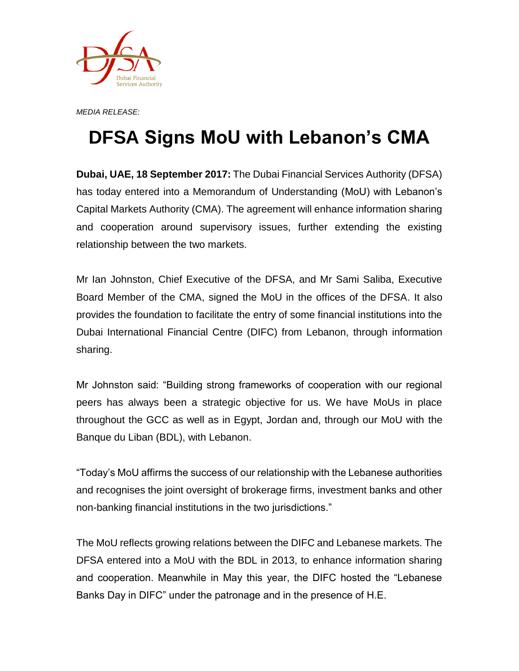

*MEDIA RELEASE:*

## **DFSA Signs MoU with Lebanon's CMA**

**Dubai, UAE, 18 September 2017:** The Dubai Financial Services Authority (DFSA) has today entered into a Memorandum of Understanding (MoU) with Lebanon's Capital Markets Authority (CMA). The agreement will enhance information sharing and cooperation around supervisory issues, further extending the existing relationship between the two markets.

Mr Ian Johnston, Chief Executive of the DFSA, and Mr Sami Saliba, Executive Board Member of the CMA, signed the MoU in the offices of the DFSA. It also provides the foundation to facilitate the entry of some financial institutions into the Dubai International Financial Centre (DIFC) from Lebanon, through information sharing.

Mr Johnston said: "Building strong frameworks of cooperation with our regional peers has always been a strategic objective for us. We have MoUs in place throughout the GCC as well as in Egypt, Jordan and, through our MoU with the Banque du Liban (BDL), with Lebanon.

"Today's MoU affirms the success of our relationship with the Lebanese authorities and recognises the joint oversight of brokerage firms, investment banks and other non-banking financial institutions in the two jurisdictions."

The MoU reflects growing relations between the DIFC and Lebanese markets. The DFSA entered into a MoU with the BDL in 2013, to enhance information sharing and cooperation. Meanwhile in May this year, the DIFC hosted the "Lebanese Banks Day in DIFC" under the patronage and in the presence of H.E.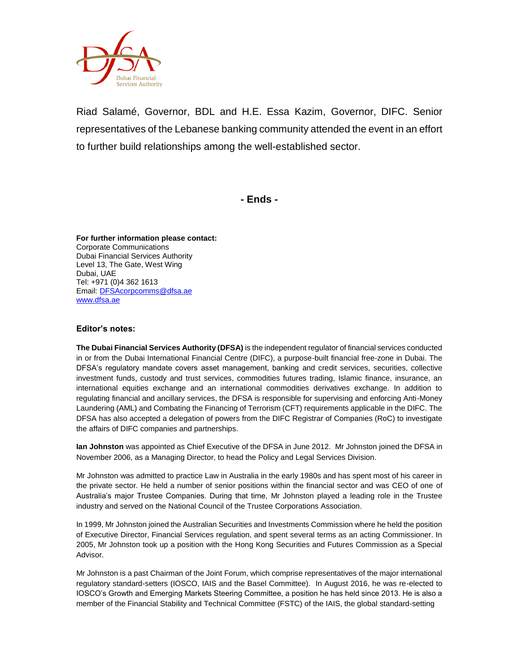

Riad Salamé, Governor, BDL and H.E. Essa Kazim, Governor, DIFC. Senior representatives of the Lebanese banking community attended the event in an effort to further build relationships among the well-established sector.

**- Ends -**

**For further information please contact:** Corporate Communications Dubai Financial Services Authority Level 13, The Gate, West Wing Dubai, UAE Tel: +971 (0)4 362 1613 Email[: DFSAcorpcomms@dfsa.ae](mailto:DFSAcorpcomms@dfsa.ae) [www.dfsa.ae](http://www.dfsa.ae/)

## **Editor's notes:**

**The Dubai Financial Services Authority (DFSA)** is the independent regulator of financial services conducted in or from the Dubai International Financial Centre (DIFC), a purpose-built financial free-zone in Dubai. The DFSA's regulatory mandate covers asset management, banking and credit services, securities, collective investment funds, custody and trust services, commodities futures trading, Islamic finance, insurance, an international equities exchange and an international commodities derivatives exchange. In addition to regulating financial and ancillary services, the DFSA is responsible for supervising and enforcing Anti-Money Laundering (AML) and Combating the Financing of Terrorism (CFT) requirements applicable in the DIFC. The DFSA has also accepted a delegation of powers from the DIFC Registrar of Companies (RoC) to investigate the affairs of DIFC companies and partnerships.

**Ian Johnston** was appointed as Chief Executive of the DFSA in June 2012. Mr Johnston joined the DFSA in November 2006, as a Managing Director, to head the Policy and Legal Services Division.

Mr Johnston was admitted to practice Law in Australia in the early 1980s and has spent most of his career in the private sector. He held a number of senior positions within the financial sector and was CEO of one of Australia's major Trustee Companies. During that time, Mr Johnston played a leading role in the Trustee industry and served on the National Council of the Trustee Corporations Association.

In 1999, Mr Johnston joined the Australian Securities and Investments Commission where he held the position of Executive Director, Financial Services regulation, and spent several terms as an acting Commissioner. In 2005, Mr Johnston took up a position with the Hong Kong Securities and Futures Commission as a Special Advisor.

Mr Johnston is a past Chairman of the Joint Forum, which comprise representatives of the major international regulatory standard-setters (IOSCO, IAIS and the Basel Committee). In August 2016, he was re-elected to IOSCO's Growth and Emerging Markets Steering Committee, a position he has held since 2013. He is also a member of the Financial Stability and Technical Committee (FSTC) of the IAIS, the global standard-setting